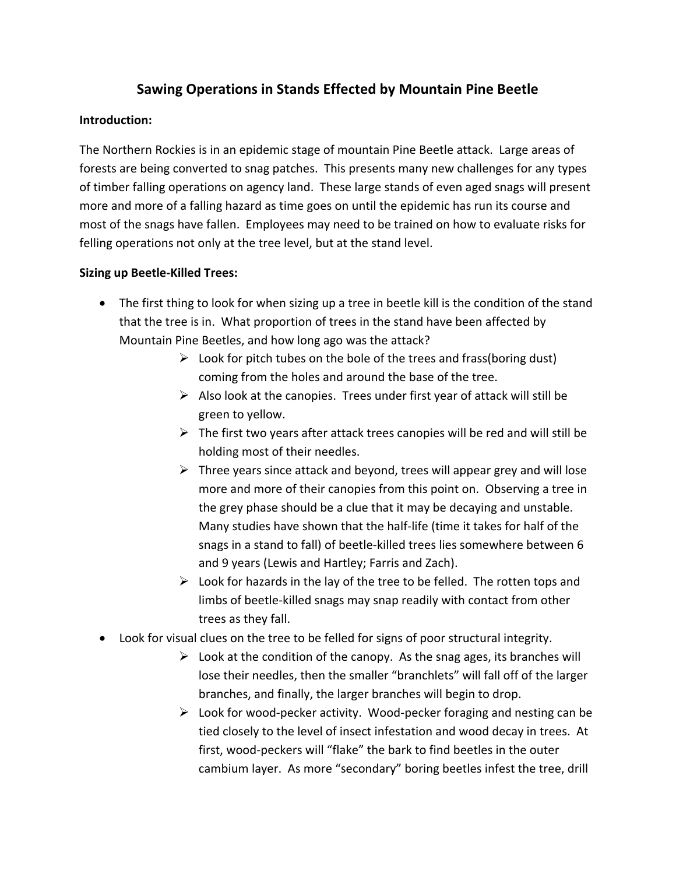## **Sawing Operations in Stands Effected by Mountain Pine Beetle**

## **Introduction:**

The Northern Rockies is in an epidemic stage of mountain Pine Beetle attack. Large areas of forests are being converted to snag patches. This presents many new challenges for any types of timber falling operations on agency land. These large stands of even aged snags will present more and more of a falling hazard as time goes on until the epidemic has run its course and most of the snags have fallen. Employees may need to be trained on how to evaluate risks for felling operations not only at the tree level, but at the stand level.

## **Sizing up Beetle-Killed Trees:**

- The first thing to look for when sizing up a tree in beetle kill is the condition of the stand that the tree is in. What proportion of trees in the stand have been affected by Mountain Pine Beetles, and how long ago was the attack?
	- $\triangleright$  Look for pitch tubes on the bole of the trees and frass(boring dust) coming from the holes and around the base of the tree.
	- $\triangleright$  Also look at the canopies. Trees under first year of attack will still be green to yellow.
	- $\triangleright$  The first two years after attack trees canopies will be red and will still be holding most of their needles.
	- $\triangleright$  Three years since attack and beyond, trees will appear grey and will lose more and more of their canopies from this point on. Observing a tree in the grey phase should be a clue that it may be decaying and unstable. Many studies have shown that the half-life (time it takes for half of the snags in a stand to fall) of beetle-killed trees lies somewhere between 6 and 9 years (Lewis and Hartley; Farris and Zach).
	- $\triangleright$  Look for hazards in the lay of the tree to be felled. The rotten tops and limbs of beetle-killed snags may snap readily with contact from other trees as they fall.
- Look for visual clues on the tree to be felled for signs of poor structural integrity.
	- $\triangleright$  Look at the condition of the canopy. As the snag ages, its branches will lose their needles, then the smaller "branchlets" will fall off of the larger branches, and finally, the larger branches will begin to drop.
	- $\triangleright$  Look for wood-pecker activity. Wood-pecker foraging and nesting can be tied closely to the level of insect infestation and wood decay in trees. At first, wood-peckers will "flake" the bark to find beetles in the outer cambium layer. As more "secondary" boring beetles infest the tree, drill